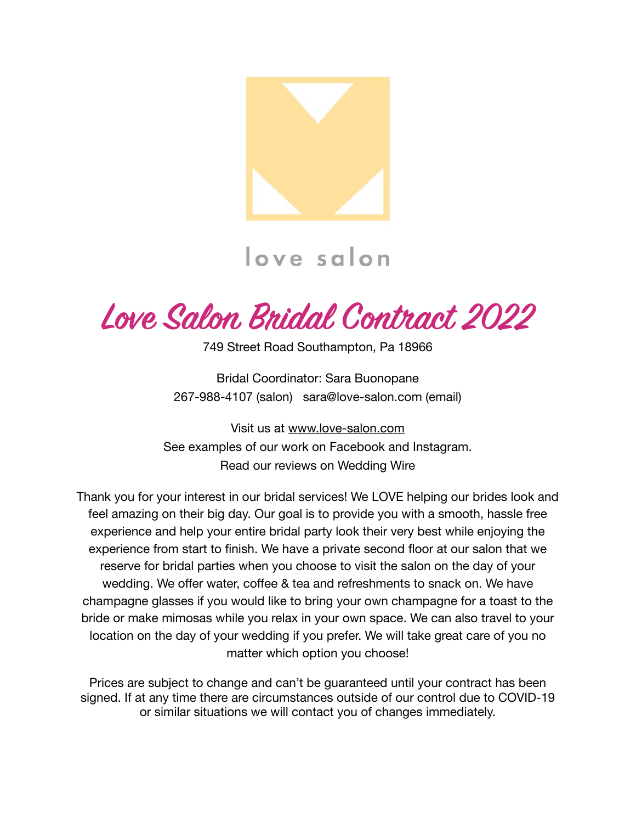

# love salon

**Love Salon Bridal Contract 2022**

749 Street Road Southampton, Pa 18966

Bridal Coordinator: Sara Buonopane 267-988-4107 (salon) sara@love-salon.com (email)

Visit us at [www.love-salon.com](http://www.love-salon.com) See examples of our work on Facebook and Instagram. Read our reviews on Wedding Wire

Thank you for your interest in our bridal services! We LOVE helping our brides look and feel amazing on their big day. Our goal is to provide you with a smooth, hassle free experience and help your entire bridal party look their very best while enjoying the experience from start to finish. We have a private second floor at our salon that we reserve for bridal parties when you choose to visit the salon on the day of your wedding. We offer water, coffee & tea and refreshments to snack on. We have champagne glasses if you would like to bring your own champagne for a toast to the bride or make mimosas while you relax in your own space. We can also travel to your location on the day of your wedding if you prefer. We will take great care of you no matter which option you choose!

Prices are subject to change and can't be guaranteed until your contract has been signed. If at any time there are circumstances outside of our control due to COVID-19 or similar situations we will contact you of changes immediately.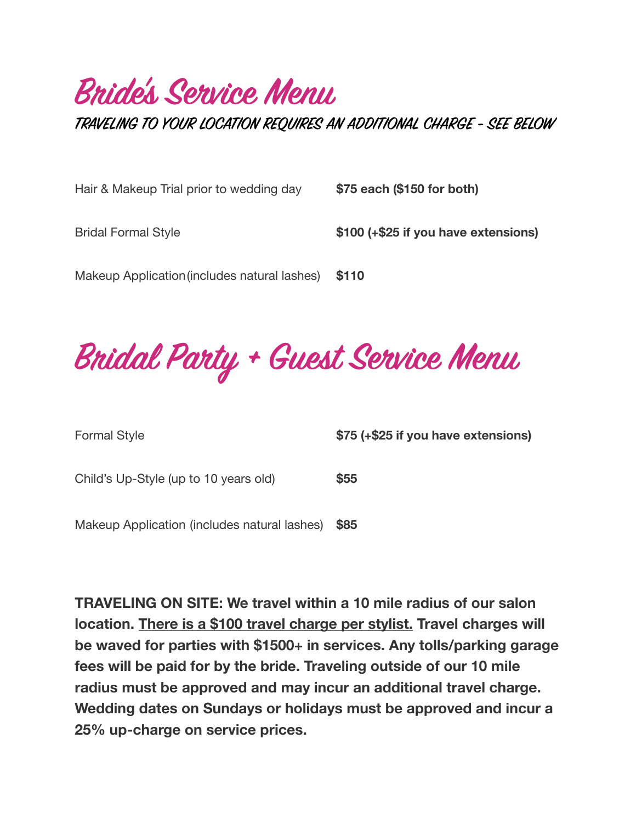# **Bride's Service Menu**

**TRAVELING TO YOUR LOCATION REQUIRES AN ADDITIONAL CHARGE - SEE BELOW**

| Hair & Makeup Trial prior to wedding day     | \$75 each (\$150 for both)           |
|----------------------------------------------|--------------------------------------|
| <b>Bridal Formal Style</b>                   | \$100 (+\$25 if you have extensions) |
| Makeup Application (includes natural lashes) | \$110                                |

**Bridal Party + Guest Service Menu**

Formal Style *S75* **(+\$25 if you have extensions)** 

Child's Up-Style (up to 10 years old) **\$55** 

Makeup Application (includes natural lashes) **\$85** 

**TRAVELING ON SITE: We travel within a 10 mile radius of our salon location. There is a \$100 travel charge per stylist. Travel charges will be waved for parties with \$1500+ in services. Any tolls/parking garage fees will be paid for by the bride. Traveling outside of our 10 mile radius must be approved and may incur an additional travel charge. Wedding dates on Sundays or holidays must be approved and incur a 25% up-charge on service prices.**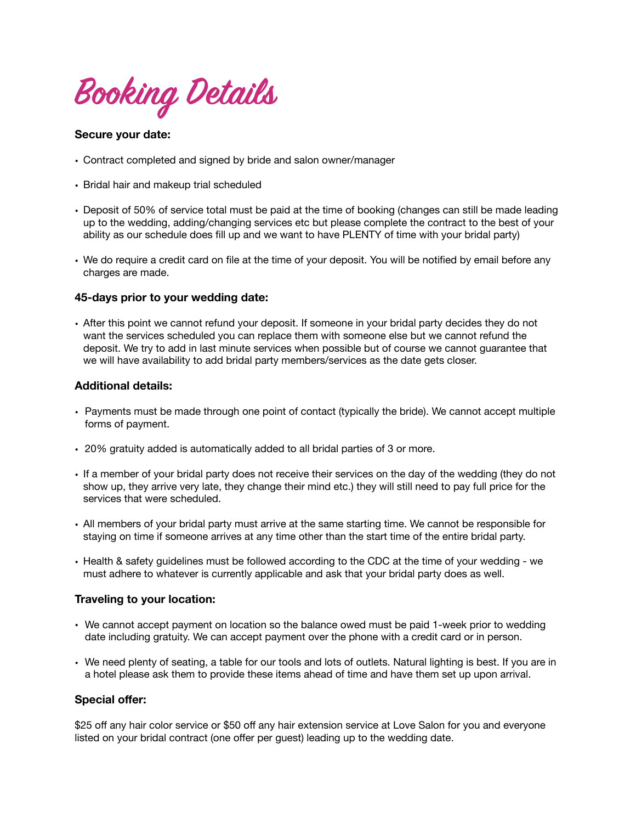**Booking Details** 

#### **Secure your date:**

- Contract completed and signed by bride and salon owner/manager
- Bridal hair and makeup trial scheduled
- Deposit of 50% of service total must be paid at the time of booking (changes can still be made leading up to the wedding, adding/changing services etc but please complete the contract to the best of your ability as our schedule does fill up and we want to have PLENTY of time with your bridal party)
- We do require a credit card on file at the time of your deposit. You will be notified by email before any charges are made.

#### **45-days prior to your wedding date:**

• After this point we cannot refund your deposit. If someone in your bridal party decides they do not want the services scheduled you can replace them with someone else but we cannot refund the deposit. We try to add in last minute services when possible but of course we cannot guarantee that we will have availability to add bridal party members/services as the date gets closer.

#### **Additional details:**

- Payments must be made through one point of contact (typically the bride). We cannot accept multiple forms of payment.
- 20% gratuity added is automatically added to all bridal parties of 3 or more.
- If a member of your bridal party does not receive their services on the day of the wedding (they do not show up, they arrive very late, they change their mind etc.) they will still need to pay full price for the services that were scheduled.
- All members of your bridal party must arrive at the same starting time. We cannot be responsible for staying on time if someone arrives at any time other than the start time of the entire bridal party.
- Health & safety guidelines must be followed according to the CDC at the time of your wedding we must adhere to whatever is currently applicable and ask that your bridal party does as well.

#### **Traveling to your location:**

- We cannot accept payment on location so the balance owed must be paid 1-week prior to wedding date including gratuity. We can accept payment over the phone with a credit card or in person.
- We need plenty of seating, a table for our tools and lots of outlets. Natural lighting is best. If you are in a hotel please ask them to provide these items ahead of time and have them set up upon arrival.

#### **Special offer:**

\$25 off any hair color service or \$50 off any hair extension service at Love Salon for you and everyone listed on your bridal contract (one offer per guest) leading up to the wedding date.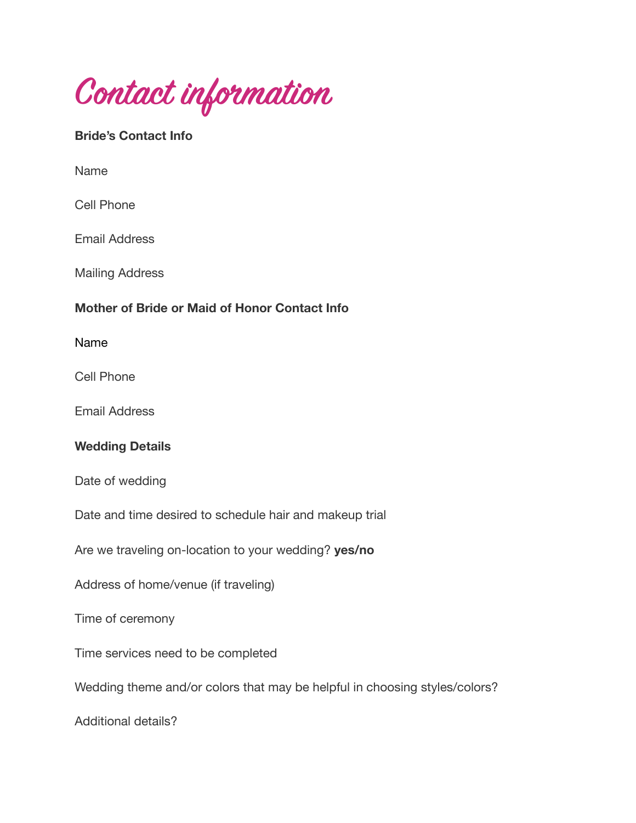**Contact information**

# **Bride's Contact Info**

Name

Cell Phone

Email Address

Mailing Address

## **Mother of Bride or Maid of Honor Contact Info**

Name

Cell Phone

Email Address

### **Wedding Details**

Date of wedding

Date and time desired to schedule hair and makeup trial

Are we traveling on-location to your wedding? **yes/no** 

Address of home/venue (if traveling)

Time of ceremony

Time services need to be completed

Wedding theme and/or colors that may be helpful in choosing styles/colors?

Additional details?